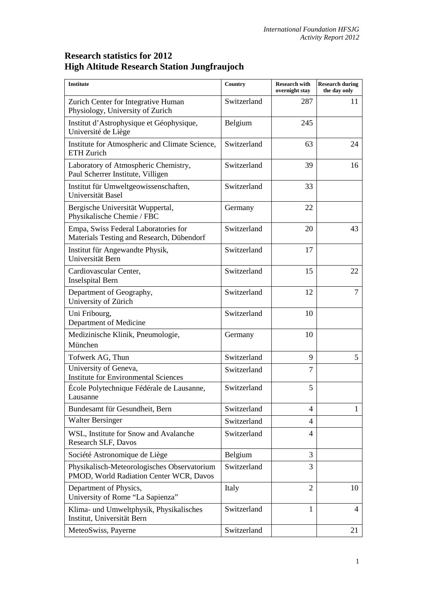## **Research statistics for 2012 High Altitude Research Station Jungfraujoch**

| <b>Institute</b>                                                                       | Country     | <b>Research with</b><br>overnight stay | <b>Research during</b><br>the day only |
|----------------------------------------------------------------------------------------|-------------|----------------------------------------|----------------------------------------|
| Zurich Center for Integrative Human<br>Physiology, University of Zurich                | Switzerland | 287                                    | 11                                     |
| Institut d'Astrophysique et Géophysique,<br>Université de Liège                        | Belgium     | 245                                    |                                        |
| Institute for Atmospheric and Climate Science,<br>ETH Zurich                           | Switzerland | 63                                     | 24                                     |
| Laboratory of Atmospheric Chemistry,<br>Paul Scherrer Institute, Villigen              | Switzerland | 39                                     | 16                                     |
| Institut für Umweltgeowissenschaften,<br>Universität Basel                             | Switzerland | 33                                     |                                        |
| Bergische Universität Wuppertal,<br>Physikalische Chemie / FBC                         | Germany     | 22                                     |                                        |
| Empa, Swiss Federal Laboratories for<br>Materials Testing and Research, Dübendorf      | Switzerland | 20                                     | 43                                     |
| Institut für Angewandte Physik,<br>Universität Bern                                    | Switzerland | 17                                     |                                        |
| Cardiovascular Center,<br><b>Inselspital Bern</b>                                      | Switzerland | 15                                     | 22                                     |
| Department of Geography,<br>University of Zürich                                       | Switzerland | 12                                     | $\tau$                                 |
| Uni Fribourg,<br>Department of Medicine                                                | Switzerland | 10                                     |                                        |
| Medizinische Klinik, Pneumologie,<br>München                                           | Germany     | 10                                     |                                        |
| Tofwerk AG, Thun                                                                       | Switzerland | 9                                      | 5                                      |
| University of Geneva,<br><b>Institute for Environmental Sciences</b>                   | Switzerland | $\overline{7}$                         |                                        |
| École Polytechnique Fédérale de Lausanne,<br>Lausanne                                  | Switzerland | 5                                      |                                        |
| Bundesamt für Gesundheit, Bern                                                         | Switzerland | $\overline{4}$                         | $\mathbf{1}$                           |
| <b>Walter Bersinger</b>                                                                | Switzerland | 4                                      |                                        |
| WSL, Institute for Snow and Avalanche<br>Research SLF, Davos                           | Switzerland | 4                                      |                                        |
| Société Astronomique de Liège                                                          | Belgium     | 3                                      |                                        |
| Physikalisch-Meteorologisches Observatorium<br>PMOD, World Radiation Center WCR, Davos | Switzerland | 3                                      |                                        |
| Department of Physics,<br>University of Rome "La Sapienza"                             | Italy       | 2                                      | 10                                     |
| Klima- und Umweltphysik, Physikalisches<br>Institut, Universität Bern                  | Switzerland | $\mathbf{1}$                           | 4                                      |
| MeteoSwiss, Payerne                                                                    | Switzerland |                                        | 21                                     |